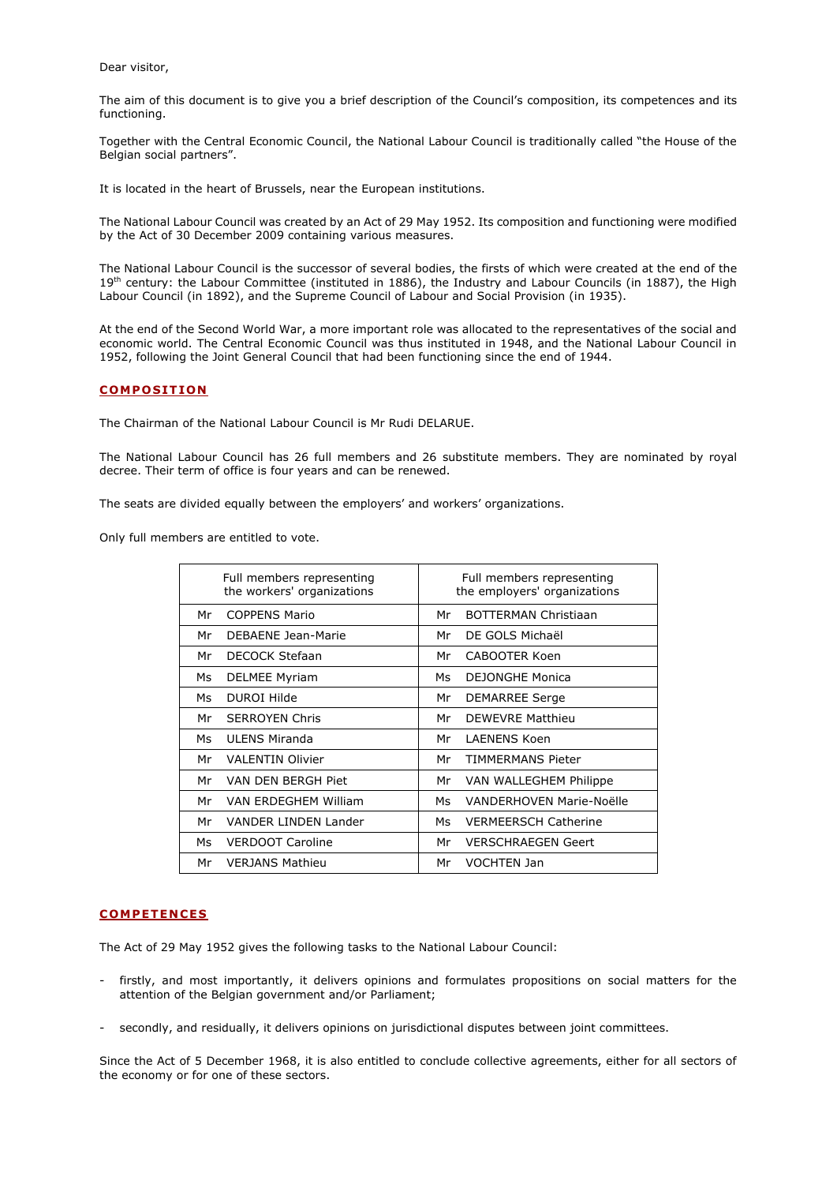Dear visitor,

The aim of this document is to give you a brief description of the Council's [composition,](http://www.nar.be/HomeE.htm#Composition) its [competences](http://www.nar.be/HomeE.htm#Competences) and its [functioning.](http://www.nar.be/HomeE.htm#Functioning)

Together with the Central Economic Council, the National Labour Council is traditionally called "the House of the Belgian social partners".

It is located in the heart of Brussels, near the European institutions.

The National Labour Council was created by an Act of 29 May 1952. Its composition and functioning were modified by the Act of 30 December 2009 containing various measures.

The National Labour Council is the successor of several bodies, the firsts of which were created at the end of the 19<sup>th</sup> century: the Labour Committee (instituted in 1886), the Industry and Labour Councils (in 1887), the High Labour Council (in 1892), and the Supreme Council of Labour and Social Provision (in 1935).

At the end of the Second World War, a more important role was allocated to the representatives of the social and economic world. The Central Economic Council was thus instituted in 1948, and the National Labour Council in 1952, following the Joint General Council that had been functioning since the end of 1944.

# **COM PO S IT ION**

The Chairman of the National Labour Council is Mr Rudi DELARUE.

The National Labour Council has 26 full members and 26 substitute members. They are nominated by royal decree. Their term of office is four years and can be renewed.

The seats are divided equally between the employers' and workers' organizations.

Only full members are entitled to vote.

| Full members representing  | Full members representing    |
|----------------------------|------------------------------|
| the workers' organizations | the employers' organizations |
| Mr                         | <b>BOTTERMAN Christiaan</b>  |
| COPPENS Mario              | Mr                           |
| DEBAENE Jean-Marie         | DE GOLS Michaël              |
| Mr                         | Mr                           |
| Mr                         | Mr                           |
| <b>DECOCK Stefaan</b>      | CABOOTER Koen                |
| <b>DELMEE Myriam</b>       | Ms                           |
| Ms                         | DEJONGHE Monica              |
| DUROI Hilde                | Mr                           |
| Ms                         | <b>DEMARREE Serge</b>        |
| <b>SERROYEN Chris</b>      | <b>DEWEVRE Matthieu</b>      |
| Mr                         | Mr                           |
| Ms                         | Mr                           |
| ULENS Miranda              | LAFNENS Koen                 |
| <b>VAI FNTIN Olivier</b>   | <b>TIMMFRMANS Pieter</b>     |
| Mr                         | Mr                           |
| VAN DEN BERGH Piet         | Mr                           |
| Mr                         | VAN WALLEGHEM Philippe       |
| VAN ERDEGHEM William       | VANDERHOVEN Marie-Noëlle     |
| Mr                         | Ms                           |
| VANDER LINDEN Lander       | Ms                           |
| Mr                         | <b>VERMEERSCH Catherine</b>  |
| <b>VERDOOT Caroline</b>    | Mr                           |
| Ms                         | <b>VERSCHRAEGEN Geert</b>    |
| Mr                         | Mr                           |
| <b>VERJANS Mathieu</b>     | <b>VOCHTEN Jan</b>           |

### **COMPETENCES**

The Act of 29 May 1952 gives the following tasks to the National Labour Council:

- firstly, and most importantly, it delivers opinions and formulates propositions on social matters for the attention of the Belgian government and/or Parliament;
- secondly, and residually, it delivers opinions on jurisdictional disputes between joint committees.

Since the Act of 5 December 1968, it is also entitled to conclude collective agreements, either for all sectors of the economy or for one of these sectors.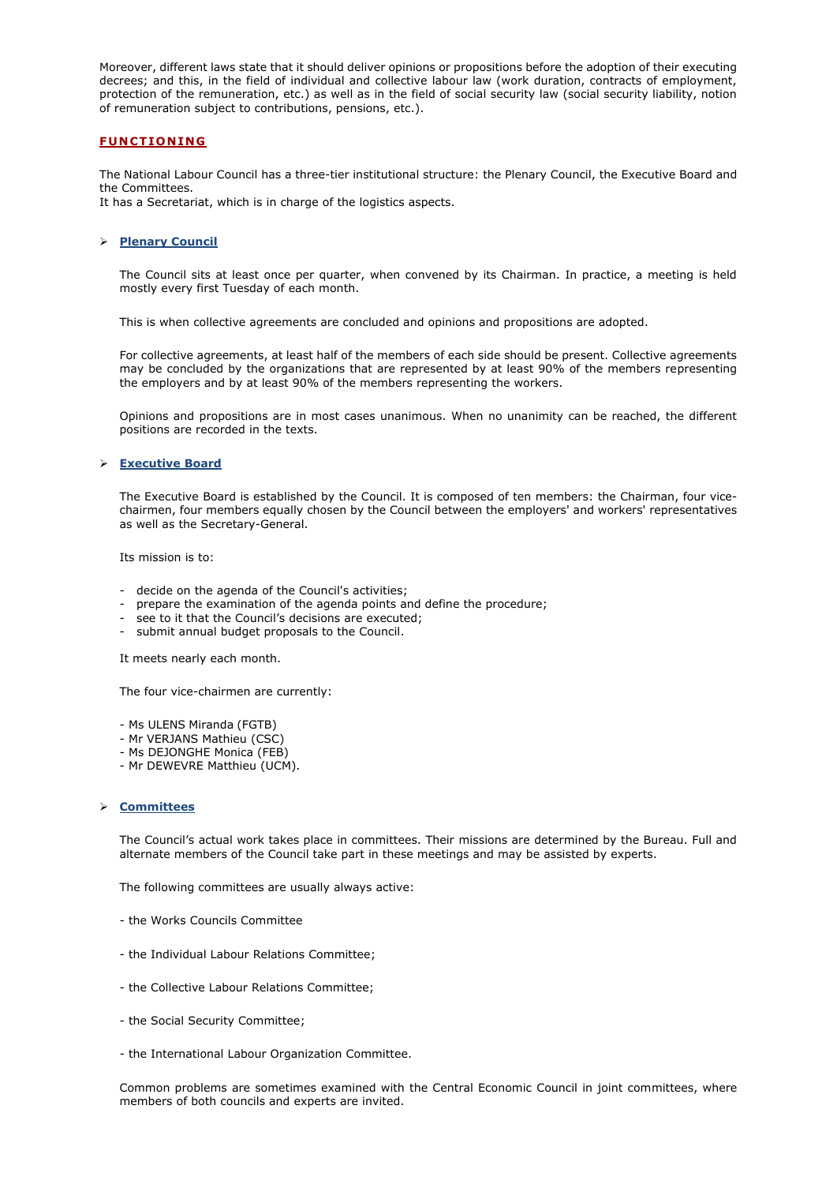Moreover, different laws state that it should deliver opinions or propositions before the adoption of their executing decrees; and this, in the field of individual and collective labour law (work duration, contracts of employment, protection of the remuneration, etc.) as well as in the field of social security law (social security liability, notion of remuneration subject to contributions, pensions, etc.).

## **FUNCTIONING**

The National Labour Council has a three-tier institutional structure: the Plenary Council, the Executive Board and the Committees.

It has a Secretariat, which is in charge of the logistics aspects.

#### **Plenary Council**

The Council sits at least once per quarter, when convened by its Chairman. In practice, a meeting is held mostly every first Tuesday of each month.

This is when collective agreements are concluded and opinions and propositions are adopted.

For collective agreements, at least half of the members of each side should be present. Collective agreements may be concluded by the organizations that are represented by at least 90% of the members representing the employers and by at least 90% of the members representing the workers.

Opinions and propositions are in most cases unanimous. When no unanimity can be reached, the different positions are recorded in the texts.

### **Executive Board**

The Executive Board is established by the Council. It is composed of ten members: the Chairman, four vicechairmen, four members equally chosen by the Council between the employers' and workers' representatives as well as the Secretary-General.

Its mission is to:

- decide on the agenda of the Council's activities;
- prepare the examination of the agenda points and define the procedure;
- see to it that the Council's decisions are executed;
- submit annual budget proposals to the Council.

It meets nearly each month.

The four vice-chairmen are currently:

- Ms ULENS Miranda (FGTB)
- Mr VERJANS Mathieu (CSC)
- Ms DEJONGHE Monica (FEB)
- Mr DEWEVRE Matthieu (UCM).

### **Committees**

The Council's actual work takes place in committees. Their missions are determined by the Bureau. Full and alternate members of the Council take part in these meetings and may be assisted by experts.

The following committees are usually always active:

- the Works Councils Committee
- the Individual Labour Relations Committee;
- the Collective Labour Relations Committee;
- the Social Security Committee;
- the International Labour Organization Committee.

Common problems are sometimes examined with the Central Economic Council in joint committees, where members of both councils and experts are invited.